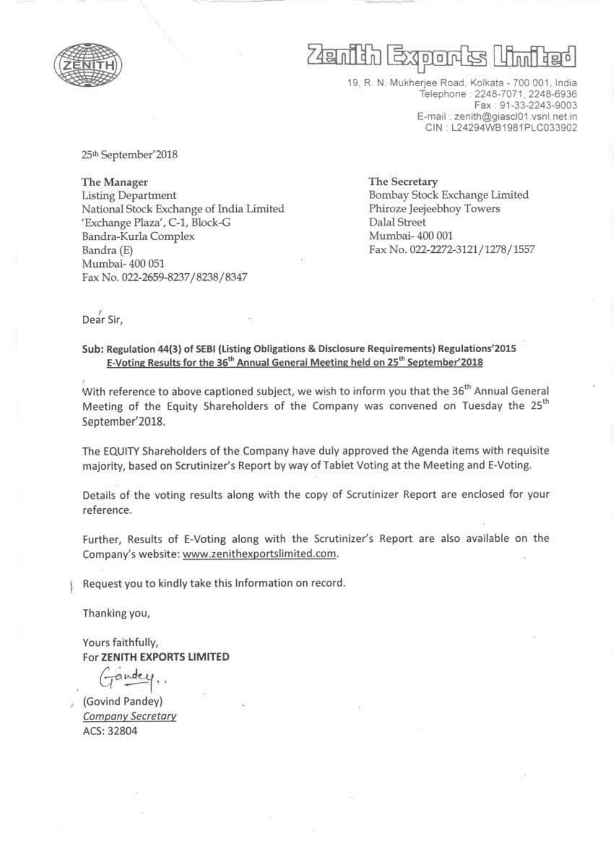

# $\sqrt{D}$

19, R. N. Mukherjee Road, Kolkata - 700 001, India Telephone: 2248-7071, 2248-6936 Fax: 91-33-2243-9003 E-mail: zenith@giascl01.vsnl.net.in CIN: L24294WB1981PLC033902

25th September'2018

The Manager **Listing Department** National Stock Exchange of India Limited 'Exchange Plaza', C-1, Block-G Bandra-Kurla Complex Bandra (E) Mumbai-400 051 Fax No. 022-2659-8237/8238/8347

The Secretary Bombay Stock Exchange Limited Phiroze Jeejeebhoy Towers Dalal Street Mumbai-400 001 Fax No. 022-2272-3121/1278/1557

Dear Sir,

### Sub: Regulation 44(3) of SEBI (Listing Obligations & Disclosure Requirements) Regulations'2015 E-Voting Results for the 36<sup>th</sup> Annual General Meeting held on 25<sup>th</sup> September'2018

With reference to above captioned subject, we wish to inform you that the 36<sup>th</sup> Annual General Meeting of the Equity Shareholders of the Company was convened on Tuesday the 25<sup>th</sup> September'2018.

The EQUITY Shareholders of the Company have duly approved the Agenda items with requisite majority, based on Scrutinizer's Report by way of Tablet Voting at the Meeting and E-Voting.

Details of the voting results along with the copy of Scrutinizer Report are enclosed for your reference.

Further, Results of E-Voting along with the Scrutinizer's Report are also available on the Company's website: www.zenithexportslimited.com.

Request you to kindly take this Information on record.

Thanking you,

Yours faithfully, For ZENITH EXPORTS LIMITED

(Govind Pandey) Company Secretary ACS: 32804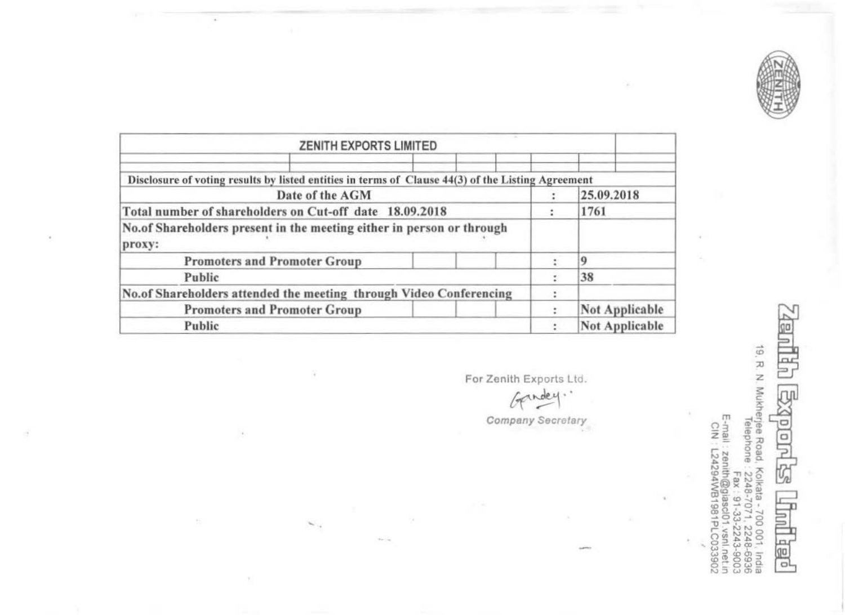

 $_{\rm nr}$  $\Rightarrow$ r

 $\sim$ 

|                                                                    | <b>ZENITH EXPORTS LIMITED</b>                                                                     |                       |                       |
|--------------------------------------------------------------------|---------------------------------------------------------------------------------------------------|-----------------------|-----------------------|
|                                                                    |                                                                                                   |                       |                       |
|                                                                    | Disclosure of voting results by listed entities in terms of Clause 44(3) of the Listing Agreement |                       |                       |
|                                                                    | Date of the AGM                                                                                   |                       | 25.09.2018            |
| Total number of shareholders on Cut-off date 18.09.2018            | 1761                                                                                              |                       |                       |
| proxy:                                                             | No. of Shareholders present in the meeting either in person or through                            |                       |                       |
|                                                                    | <b>Promoters and Promoter Group</b>                                                               |                       | $\Omega$              |
| Public                                                             |                                                                                                   |                       | 38                    |
| No.of Shareholders attended the meeting through Video Conferencing |                                                                                                   |                       |                       |
|                                                                    | <b>Promoters and Promoter Group</b>                                                               |                       | <b>Not Applicable</b> |
| Public                                                             |                                                                                                   | <b>Not Applicable</b> |                       |

o.

the Co

¥

 $\lambda$ 

 $\chi_{\rm i}$ 

 $\mathcal{C}$ 

 $\sim$ 

 $\bar{v}$ 

 $\frac{1}{2}$ 

For Zenith Exports Ltd.

Gendey l.

**Company Secretary** 

19, R. N. Mukherjee Road, Kolkata - 700 001, India<br>Telephone : 2248-7071, 2248-8936<br>Fax: 19: 2243-9003<br>E-mali : zentin@giascl01.vsnl.net.in<br>CIN: L24294WB1981PLC033902 **Band Band Band** 昌 旭

 $\alpha$ 

96

u.

 $\mathbb{R}^3$ ü,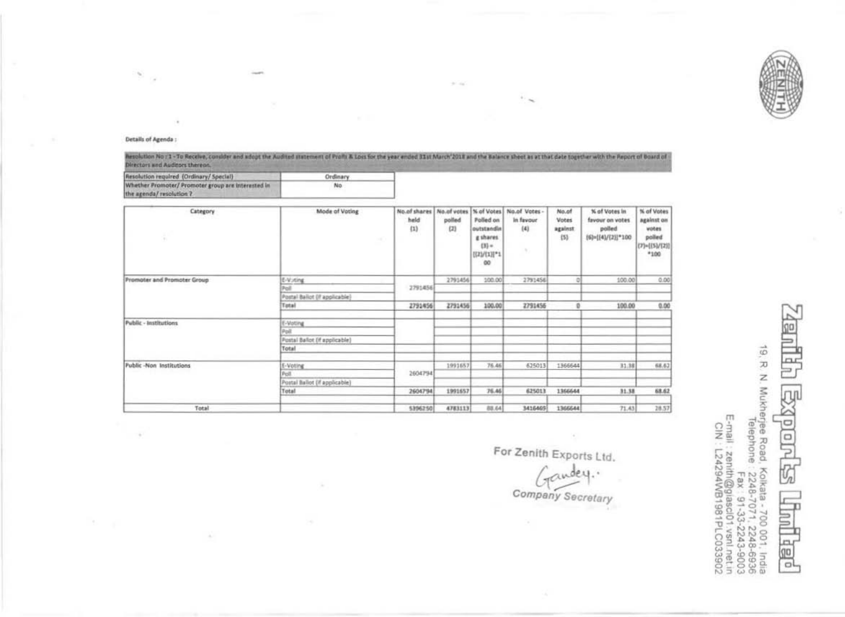

#### Details of Agenda :

 $\sim$ 

×

 $\mathbf{r}$ 

× G

Resolution No: 1 - To Receive, consider and adopt the Audited statement of Prafis & Loss for the year ended 31st March 2018 and the Balance sheet as at that date together with the Report of Board of Directors and Auditors thereon.

 $\sim$   $\sim$ 

| Resolution regulred (Ordinary/Special)             | Ordinary |  |
|----------------------------------------------------|----------|--|
| Whether Promoter/ Promoter group are interested in | No       |  |
| the agenda/ resolution ?                           |          |  |

| Category<br>÷               | Mode of Voting<br>w                  | No.of shares<br>held<br>(1) | No.of votes<br>polled<br>(2) | % of Votes<br>Polled on<br>outstandin<br>g shares<br>$(3)$ =<br>HEALE*1<br>CO | No.of Votes -<br>In favour<br>(4)<br>× | No.of<br>Votes<br>against<br>(5) | % of Votes in<br>favour on votes<br>polled<br>(6)={{4)/{2}}*100 | % of Votes<br>against on<br>wotes.<br>polled<br>$[7] - [[5]/[2]]$<br>*100 |
|-----------------------------|--------------------------------------|-----------------------------|------------------------------|-------------------------------------------------------------------------------|----------------------------------------|----------------------------------|-----------------------------------------------------------------|---------------------------------------------------------------------------|
| Promoter and Promoter Group | E-Voting                             |                             | 2791456                      | 100.00                                                                        | 2791456                                |                                  | 100.00                                                          | 0.00                                                                      |
|                             | Pol<br>Postal Ballot (If applicable) | 2791456                     |                              |                                                                               |                                        |                                  |                                                                 |                                                                           |
|                             | Total                                | 2791456                     | 2791456                      | 100.00                                                                        | 2791456                                | ø                                | 100.00                                                          | 0.00                                                                      |
| Public - Institutions       | E-Voting                             |                             |                              |                                                                               |                                        |                                  |                                                                 |                                                                           |
|                             | Poll                                 |                             |                              |                                                                               |                                        |                                  |                                                                 |                                                                           |
|                             | Postal Ballot (If applicable)        |                             |                              |                                                                               |                                        |                                  |                                                                 |                                                                           |
|                             | Total                                |                             |                              |                                                                               |                                        |                                  |                                                                 |                                                                           |
| Public-Non Institutions     | E-Voting                             |                             | 1991657                      | 76.46                                                                         | 625013                                 | 1366644                          | 31.38                                                           | 68.62                                                                     |
|                             | Poll                                 | 2604794                     |                              |                                                                               |                                        |                                  |                                                                 |                                                                           |
|                             | Postal Ballot (if applicable)        |                             |                              |                                                                               |                                        |                                  |                                                                 |                                                                           |
|                             | Total                                | 2604794                     | 1991657                      | 76.46                                                                         | 625013                                 | 1366644                          | 31.38                                                           | 68.62                                                                     |
| Total                       |                                      | 5396250                     | 4783113                      | 88.64                                                                         | 3416469                                | 1366644                          | 71.43                                                           | 28.57                                                                     |

For Zenith Exports Ltd.<br>Candey.<br>Company Secretary

19, R N Mukherjee Road, Kolkata - 700 001, India<br>Legi San 2248-7071, 2248-8936<br>September - 2248-7071, 2243-8003<br>E-mail : zentin@glasci01 vsnl.net.in<br>E-mail : zentin@glasci01 vsnl.net.in

10  $\Box$ go  $ol$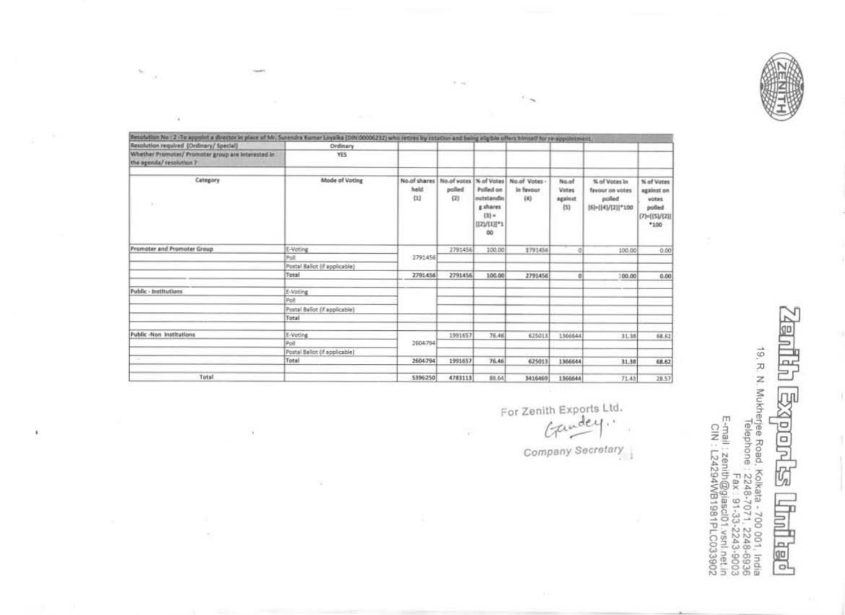

| Resolution No : 2 -To appoint a director in place of Mr. Sunendra Kumar Loyalka (DIN:00006232) who retires by colation and baing eligible offers himself for re-appointment.<br>Resolution required (Onlinery/ Special) | Ordinary                      |                             |               |                                                                     |                                                              |                                  |                                                                 |                                                                            |
|-------------------------------------------------------------------------------------------------------------------------------------------------------------------------------------------------------------------------|-------------------------------|-----------------------------|---------------|---------------------------------------------------------------------|--------------------------------------------------------------|----------------------------------|-----------------------------------------------------------------|----------------------------------------------------------------------------|
| Whether Promoter/ Promoter group are Interested in<br>the agenda/ resolution ?                                                                                                                                          | YES.                          |                             |               |                                                                     |                                                              |                                  |                                                                 |                                                                            |
| Category<br>$\mathbb{R}^n$                                                                                                                                                                                              | Mode of Voting                | No.of shares<br>held<br>(1) | polled<br>(2) | Polled on<br>outstandin<br>g shares<br>$(3)$ =<br>[[2]/[1][*1<br>00 | No.of votes   % of Votes   No.of Votes -<br>in favour<br>(4) | No.of<br>Votes<br>against<br>(5) | % of Votes In<br>favour on votes<br>pulled<br> 53m{ 4]/[2] *100 | % of Votes<br>against on<br>votes<br>polled<br>$(7) = {(5)/(2)}$<br>$*100$ |
| Promoter and Promoter Group                                                                                                                                                                                             | E-Voting                      |                             | 2791456       | 100.00                                                              | 1791456                                                      |                                  | 100.00                                                          | 0.00                                                                       |
|                                                                                                                                                                                                                         | Poll                          | 2791456                     |               |                                                                     |                                                              |                                  |                                                                 |                                                                            |
|                                                                                                                                                                                                                         | Postal Ballot (if applicable) |                             |               |                                                                     |                                                              |                                  |                                                                 |                                                                            |
|                                                                                                                                                                                                                         | Total                         | 2791456                     | 2791456       | 100.00                                                              | 2791456                                                      |                                  | 100.00                                                          | 0.00                                                                       |
| Public - Institutions                                                                                                                                                                                                   | E-Voting                      |                             |               |                                                                     |                                                              |                                  |                                                                 |                                                                            |
|                                                                                                                                                                                                                         | <b>Poli</b>                   |                             |               |                                                                     |                                                              |                                  |                                                                 |                                                                            |
|                                                                                                                                                                                                                         | Postal Ballot (if applicable) |                             |               |                                                                     |                                                              |                                  |                                                                 |                                                                            |
|                                                                                                                                                                                                                         | Total                         |                             |               |                                                                     |                                                              |                                  |                                                                 |                                                                            |
| Public -Non Institutions                                                                                                                                                                                                | E-Voting                      |                             | 1991657       | 76.46                                                               | 625013                                                       | 1366644                          | 31.38                                                           | 68.62                                                                      |
|                                                                                                                                                                                                                         | <b>Poll</b>                   | 2604794                     |               |                                                                     |                                                              |                                  |                                                                 |                                                                            |
|                                                                                                                                                                                                                         | Postal Ballot (if applicable) |                             |               |                                                                     |                                                              |                                  |                                                                 |                                                                            |
|                                                                                                                                                                                                                         | Total                         | 2604794                     | 1991657       | 76.46                                                               | 625013                                                       | 1366644                          | 31.38                                                           | 68.62                                                                      |
| Total                                                                                                                                                                                                                   |                               | 5396250                     | 4783113       | 88.64                                                               | 3416469                                                      | 1366644                          | 71.43                                                           | 28.57                                                                      |

 $-100$ 

 $\tau$ 

 $\mathcal{G}_{\mathcal{H}}$  $\alpha$ 

¥,

×.

×,

 $\alpha$ 

For Zenith Exports Ltd.<br>Gandey.

Company Secretary

**Good Shop** 19, R. N. Mukherjee Road, Kolkata - 700 001, India<br>Telephone : 2248-7071, 2248-6936<br>E-mail : zenith@giascl01.vsnl.net.in<br>CIN : L24294WB1981PLC033902<br>CIN : L24294WB1981PLC033902 **Explored ES Trid ked**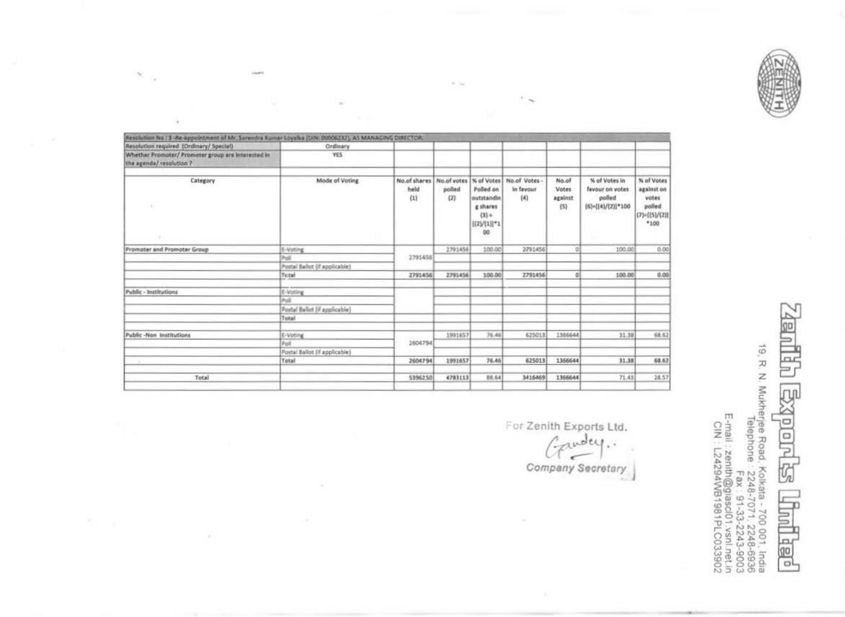

| Resolution No : 3 -Re-appointment of Mr. Surendra Komar Loyalka (DIN: 00006232), AS MANAGING DIRECTOR. |                               |                             |                              |                                                                                 |                                 |                                         |                                                                                  |                                                                              |
|--------------------------------------------------------------------------------------------------------|-------------------------------|-----------------------------|------------------------------|---------------------------------------------------------------------------------|---------------------------------|-----------------------------------------|----------------------------------------------------------------------------------|------------------------------------------------------------------------------|
| Resolution required (Ordinary/ Special)                                                                | Ordinary                      |                             |                              |                                                                                 |                                 |                                         |                                                                                  |                                                                              |
| Whether Promoter/ Promoter group are interested in<br>the agenda/ resolution ?                         | YES.                          |                             |                              |                                                                                 |                                 |                                         |                                                                                  |                                                                              |
| Category<br>х.                                                                                         | Mode of Voting                | No.of shares<br>held<br>(1) | No.of votes<br>polled<br>(2) | % of Votes<br>Polled on<br>outstandin<br>githares<br>$(3) =$<br>HZV(1)]*1<br>DO | No.of Votes<br>In favour<br>(4) | No.of<br><b>Votes</b><br>against<br>(5) | % of Votes in<br>favour on votes<br>polled<br>${6}{\approx}$ ( ${4}{}/[2)]$ *100 | % of Votes<br>against on<br>votes<br>polled<br>$(7)$ = $[(5)/(2)]$<br>$*100$ |
| Promoter and Promoter Group                                                                            | E-Voting                      |                             | 2791456                      | 100.00                                                                          | 2791456                         |                                         | 100.00                                                                           | 0.00                                                                         |
|                                                                                                        | Poll                          | 2791456                     |                              |                                                                                 |                                 |                                         |                                                                                  |                                                                              |
|                                                                                                        | Postal Ballot (if applicable) |                             |                              |                                                                                 |                                 |                                         |                                                                                  |                                                                              |
|                                                                                                        | Tetal                         | 2791456                     | 2791456                      | 100.00                                                                          | 2791456                         | ō                                       | 100.00                                                                           | 0.00                                                                         |
| <b>Public - Institutions</b>                                                                           | E-Voting                      |                             |                              |                                                                                 |                                 |                                         |                                                                                  |                                                                              |
|                                                                                                        | Poli                          |                             |                              |                                                                                 |                                 |                                         |                                                                                  |                                                                              |
|                                                                                                        | Postal Ballot (if applicable) |                             |                              |                                                                                 |                                 |                                         |                                                                                  |                                                                              |
|                                                                                                        | Total                         |                             |                              |                                                                                 |                                 |                                         |                                                                                  |                                                                              |
| Public -Non Institutions                                                                               | E-Voting                      |                             | 1991657                      | 76.46                                                                           | 625013                          | 1366644                                 | 31.38                                                                            | 68.62                                                                        |
|                                                                                                        | Poll                          | 2604794                     |                              |                                                                                 |                                 |                                         |                                                                                  |                                                                              |
|                                                                                                        | Postal Ballot (if applicable) |                             |                              |                                                                                 |                                 |                                         |                                                                                  |                                                                              |
|                                                                                                        | Total                         | 2604794                     | 1991657                      | 76.46                                                                           | 625013                          | 1366644                                 | 31.38                                                                            | 68.62                                                                        |
| Total                                                                                                  |                               | 5396250                     | 4781113                      | 88.64                                                                           | 3416469                         | 1366644                                 | 71.43                                                                            | 28.57                                                                        |

 $\sim$ 

 $\sim$   $\sim$ 

 $\sim$ 

 $\sim$ Ġ,

 $\overline{\phantom{a}}$ 

R

 $\sim$ 

For Zenith Exports Ltd. Company Secretary

19, R. N. Mukherjee Road, Kolkata - 700 001, India<br>Lemai - 2248-5248-5248-5928<br>1909-2243-5248-7248-5003<br>E-mail : zenth@giascl01.vsnl.net.in<br>E-mail : 24294WB1981PLC033902<br>ICN : L24294WB1981PLC033902 **LCU** old  $\overline{r}$ Ψz ≣ plet

go

 $n$ r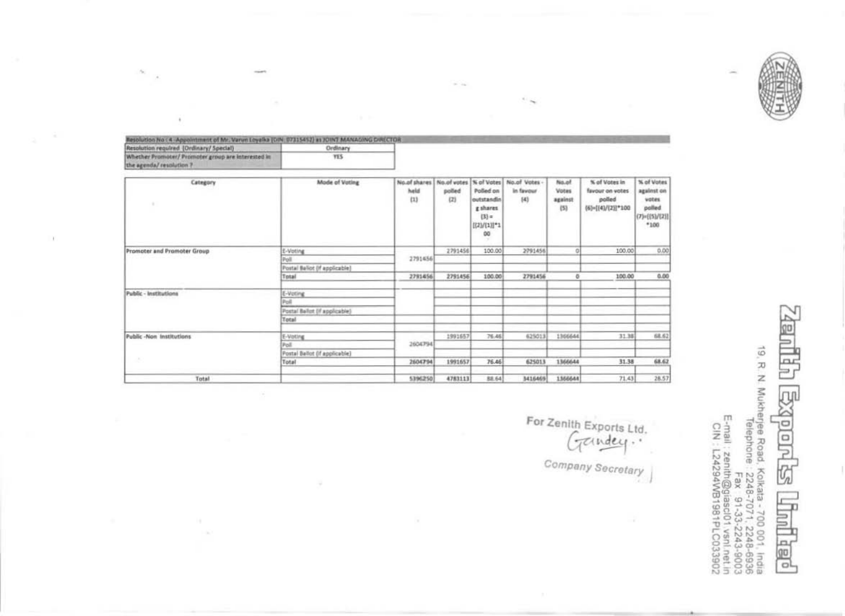| lesblution No : 4 Appointment of Mr. Varun Loyalka (DIN: 07315452) as JOINT MANAGING DIRECTOR |            |
|-----------------------------------------------------------------------------------------------|------------|
| Resolution required (Ordinary/ Special)                                                       | Ordinary   |
| Whether Promoter/ Promoter group are interested in                                            | <b>YES</b> |
| the agental resulation 1                                                                      |            |

 $\widetilde{\mathcal{L}}$ 

 $\mathcal{V}(\mathcal{C})$ ó. ×

 $\alpha_{\rm c}$ r.

G.

 $\mathcal{X}$ 

 $\bar{\imath}$ 

| Category                    | Mode of Voting                | No.of shares<br>held<br>(1) | No.of votes   N of Votes<br>polled<br>(2) | Polled on<br>outstandin<br>g shares<br>$(3) =$<br>((2)/(1)]*1<br>OO | No.of Votes -<br>in favour<br>[4] | No.of<br>Votes<br>against<br>(5) | % of Votes in<br>favour on votes<br>polled<br>(6)=[(4)/(2)]*100 | % of Votes<br>against on<br>votes<br>polled.<br>$(7)$ = $[(5)/[2]$<br>$*100$ |
|-----------------------------|-------------------------------|-----------------------------|-------------------------------------------|---------------------------------------------------------------------|-----------------------------------|----------------------------------|-----------------------------------------------------------------|------------------------------------------------------------------------------|
| Promoter and Promoter Group | E-Voting                      |                             | 2791456                                   | 100.00                                                              | 2791456                           | O                                | 100.00                                                          | 0.00                                                                         |
|                             | Poli                          | 2791456                     |                                           |                                                                     |                                   |                                  |                                                                 |                                                                              |
|                             | Postal Ballot (if applicable) |                             |                                           |                                                                     |                                   |                                  |                                                                 |                                                                              |
|                             | Total                         | 2791456                     | 2791456                                   | 100.00                                                              | 2791456                           | ō                                | 100.00                                                          | 0.00                                                                         |
| Public - Institutions       | E-Voting                      |                             |                                           |                                                                     |                                   |                                  |                                                                 |                                                                              |
|                             | Poli                          |                             |                                           |                                                                     |                                   |                                  |                                                                 |                                                                              |
|                             | Postal Ballot (if applicable) |                             |                                           |                                                                     |                                   |                                  |                                                                 |                                                                              |
|                             | Total                         |                             |                                           |                                                                     |                                   |                                  |                                                                 |                                                                              |
| Public -Non Institutions    | E-Voting                      |                             | 1991657                                   | 76.46                                                               | 625013                            | 1366644                          | 31.38                                                           | 68.62                                                                        |
|                             | Poll                          | 2604794                     |                                           |                                                                     |                                   |                                  |                                                                 |                                                                              |
|                             | Postal Ballot (if applicable) |                             |                                           |                                                                     |                                   |                                  |                                                                 |                                                                              |
| ×                           | Total                         | 2604794                     | 1991657                                   | 76.46                                                               | 625013                            | 1366644                          | 31.38                                                           | 68.62                                                                        |
| Total                       |                               | 5396250                     | 4783113                                   | 88.64                                                               | 3416469                           | 1366644                          | 71.43                                                           | 28.57                                                                        |

o.

 $-12.4$ 

For Zenith Exports Ltd. Company Secretary

19, R. N. Mukherjee Road, Kolkata - 700 001, India<br>Telephone : 2248-7071, 2248-6936<br>E-mail : zenth@giascl01 vsnl.net.in<br>CIN : L24294WB1981PLC033902<br>CIN : L24294WB1981PLC033902 ĮОI plole G Þ 旭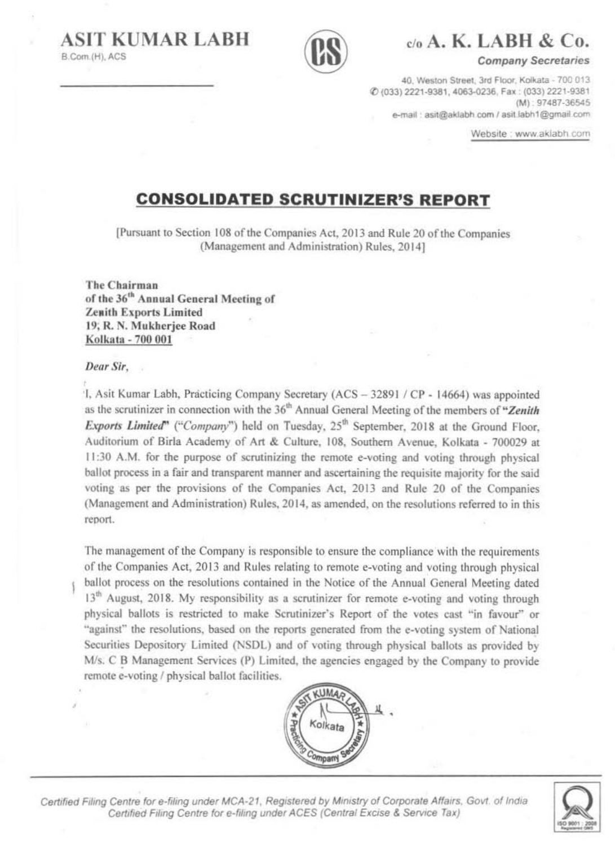B.Com.(H), ACS



## $\mathcal{C}$ <sup>0</sup> A.K. LABH & Co.

**Company Secretaries** 

40. Weston Street, 3rd Floor, Kolkata - 700 013. @ (033) 2221-9381, 4063-0236, Fax: (033) 2221-9381  $(M)$ : 97487-36545 e-mail: asit@aklabh.com / asit.labh1@gmail.com

Website : www.aklabh.com

## **CONSOLIDATED SCRUTINIZER'S REPORT**

[Pursuant to Section 108 of the Companies Act, 2013 and Rule 20 of the Companies (Management and Administration) Rules, 2014]

The Chairman of the 36<sup>th</sup> Annual General Meeting of **Zenith Exports Limited** 19; R. N. Mukherjee Road Kolkata - 700 001

### Dear Sir.

1, Asit Kumar Labh, Practicing Company Secretary (ACS - 32891 / CP - 14664) was appointed as the scrutinizer in connection with the 36<sup>th</sup> Annual General Meeting of the members of "Zenith Exports Limited" ("Company") held on Tuesday, 25<sup>th</sup> September, 2018 at the Ground Floor. Auditorium of Birla Academy of Art & Culture, 108, Southern Avenue, Kolkata - 700029 at 11:30 A.M. for the purpose of scrutinizing the remote e-voting and voting through physical ballot process in a fair and transparent manner and ascertaining the requisite majority for the said voting as per the provisions of the Companies Act, 2013 and Rule 20 of the Companies (Management and Administration) Rules, 2014, as amended, on the resolutions referred to in this report.

The management of the Company is responsible to ensure the compliance with the requirements of the Companies Act, 2013 and Rules relating to remote e-voting and voting through physical ballot process on the resolutions contained in the Notice of the Annual General Meeting dated 13<sup>th</sup> August, 2018. My responsibility as a scrutinizer for remote e-voting and voting through physical ballots is restricted to make Scrutinizer's Report of the votes cast "in favour" or "against" the resolutions, based on the reports generated from the e-voting system of National Securities Depository Limited (NSDL) and of voting through physical ballots as provided by M/s. C B Management Services (P) Limited, the agencies engaged by the Company to provide remote e-voting / physical ballot facilities.



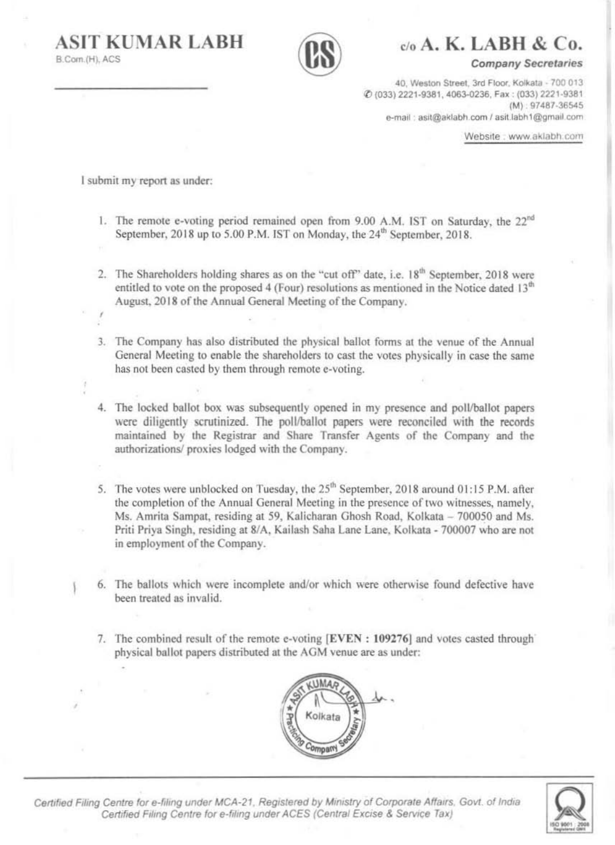



c/o A. K. LABH & Co.

**Company Secretaries** 

40. Weston Street, 3rd Floor, Kolkata - 700 013 C (033) 2221-9381, 4063-0236, Fax: (033) 2221-9381  $(M): 97487 - 36545$ e-mail: asit@aklabh.com / asit.labh1@gmail.com

Website : www.aklabh.com

I submit my report as under:

- 1. The remote e-voting period remained open from 9.00 A.M. IST on Saturday, the 22<sup>nd</sup> September, 2018 up to 5.00 P.M. IST on Monday, the 24<sup>th</sup> September, 2018.
- 2. The Shareholders holding shares as on the "cut off" date, i.e. 18<sup>th</sup> September, 2018 were entitled to vote on the proposed 4 (Four) resolutions as mentioned in the Notice dated 13<sup>th</sup> August, 2018 of the Annual General Meeting of the Company.
- 3. The Company has also distributed the physical ballot forms at the venue of the Annual General Meeting to enable the shareholders to cast the votes physically in case the same has not been casted by them through remote e-voting.
- 4. The locked ballot box was subsequently opened in my presence and poll/ballot papers were diligently scrutinized. The poll/ballot papers were reconciled with the records maintained by the Registrar and Share Transfer Agents of the Company and the authorizations/ proxies lodged with the Company.
- 5. The votes were unblocked on Tuesday, the 25<sup>th</sup> September, 2018 around 01:15 P.M. after the completion of the Annual General Meeting in the presence of two witnesses, namely, Ms. Amrita Sampat, residing at 59, Kalicharan Ghosh Road, Kolkata - 700050 and Ms. Priti Priya Singh, residing at 8/A, Kailash Saha Lane Lane, Kolkata - 700007 who are not in employment of the Company.

6. The ballots which were incomplete and/or which were otherwise found defective have been treated as invalid.

7. The combined result of the remote e-voting [EVEN : 109276] and votes casted through physical ballot papers distributed at the AGM venue are as under:



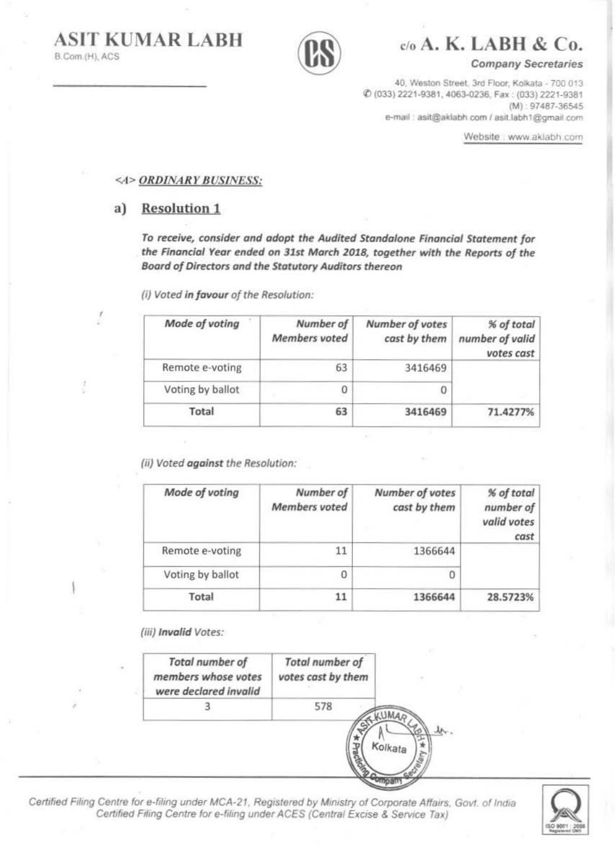**ASIT KUMAR LABH** B.Com.(H), ACS



с/о А. К. LABH & Co.

**Company Secretaries** 

40, Weston Street, 3rd Floor, Kolkata - 700 013 @ (033) 2221-9381, 4063-0236, Fax: (033) 2221-9381  $(M): 97487 - 36545$ e-mail : asit@aklabh.com / asit.labh1@gmail.com

Website : www.aklabh.com

### <4> ORDINARY BUSINESS:

#### a) **Resolution 1**

To receive, consider and adopt the Audited Standalone Financial Statement for the Financial Year ended on 31st March 2018, together with the Reports of the Board of Directors and the Statutory Auditors thereon

(i) Voted in favour of the Resolution:

| % of total<br>number of valid<br>votes cast | Number of votes<br>cast by them | Number of<br><b>Members</b> voted | Mode of voting   |
|---------------------------------------------|---------------------------------|-----------------------------------|------------------|
|                                             | 3416469                         | 63                                | Remote e-voting  |
|                                             | $\circ$                         | 0                                 | Voting by ballot |
| 71.4277%                                    | 3416469                         | 63                                | Total            |

(ii) Voted against the Resolution:

| Mode of voting   | Number of<br><b>Members</b> voted | Number of votes<br>cast by them | % of total<br>number of<br>valid votes<br>cast |
|------------------|-----------------------------------|---------------------------------|------------------------------------------------|
| Remote e-voting  | 11                                | 1366644                         |                                                |
| Voting by ballot | 0                                 | 0                               |                                                |
| Total            | 11                                | 1366644                         | 28.5723%                                       |

(iii) Invalid Votes:



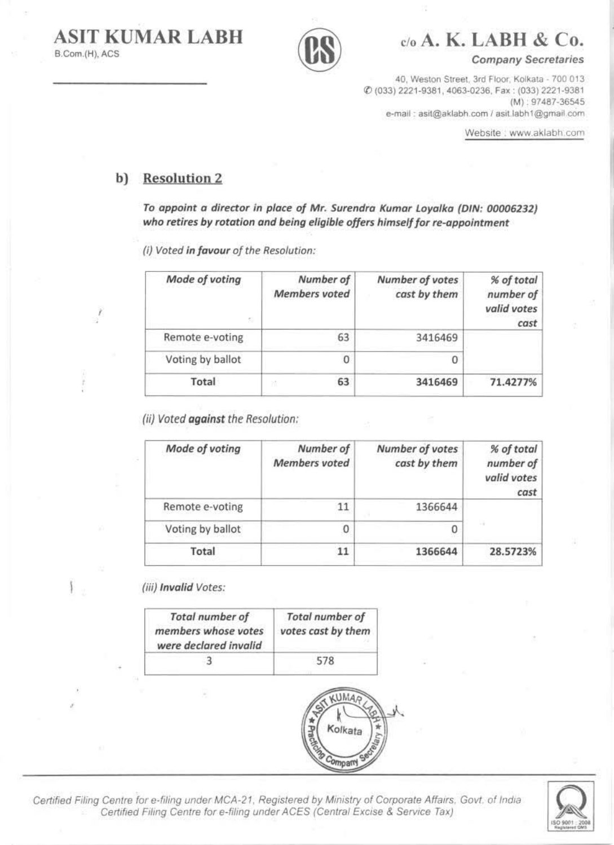**ASIT KUMAR LABH** B.Com.(H), ACS



c/o A. K. LABH & Co.

**Company Secretaries** 

40, Weston Street, 3rd Floor, Kolkata - 700 013 @ (033) 2221-9381, 4063-0236, Fax: (033) 2221-9381 (M): 97487-36545 e-mail: asit@aklabh.com / asit.labh1@gmail.com

Website : www.aklabh.com

#### **Resolution 2** b)

To appoint a director in place of Mr. Surendra Kumar Loyalka (DIN: 00006232) who retires by rotation and being eligible offers himself for re-appointment

(i) Voted in favour of the Resolution:

| Mode of voting<br>52 | Number of<br><b>Members</b> voted | Number of votes<br>cast by them | % of total<br>number of<br>valid votes<br>cast |
|----------------------|-----------------------------------|---------------------------------|------------------------------------------------|
| Remote e-voting      | 63                                | 3416469                         |                                                |
| Voting by ballot     | 0                                 |                                 |                                                |
| Total                | 63<br>M                           | 3416469                         | 71.4277%                                       |

(ii) Voted against the Resolution:

| Mode of voting   | Number of<br><b>Members</b> voted | Number of votes<br>cast by them | % of total<br>number of<br>valid votes<br>cast |
|------------------|-----------------------------------|---------------------------------|------------------------------------------------|
| Remote e-voting  | 11                                | 1366644                         |                                                |
| Voting by ballot | 0                                 | 0                               | ×                                              |
| Total            |                                   | 1366644                         | 28.5723%                                       |

(iii) Invalid Votes:

| <b>Total number of</b><br>members whose votes<br>were declared invalid | <b>Total number of</b><br>votes cast by them |
|------------------------------------------------------------------------|----------------------------------------------|
|                                                                        | 578                                          |



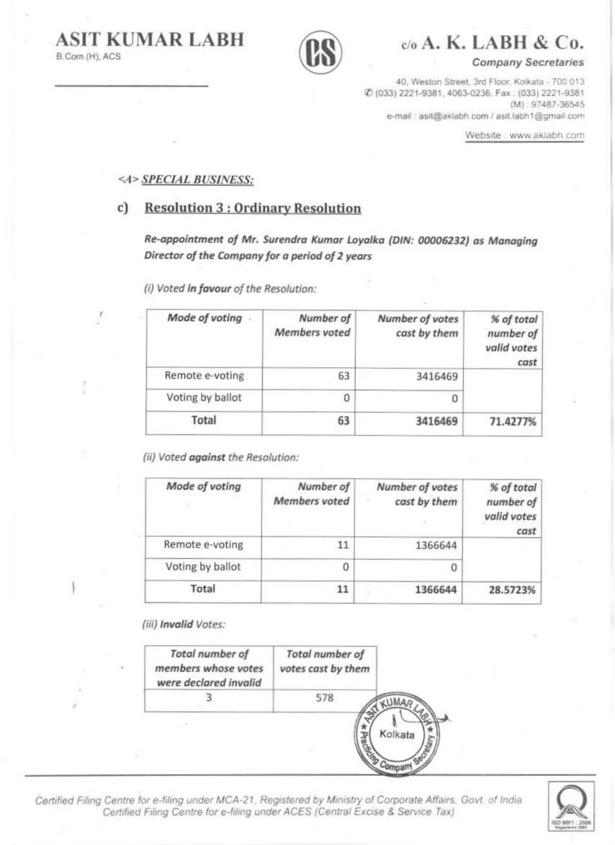**ASIT KUMAR LABH** B.Com.(H), ACS



 $C<sub>0</sub>$  A.K. LABH & C<sub>0</sub>.

**Company Secretaries** 

40, Weston Street, 3rd Floor, Kolkata - 700 013 Ø (033) 2221-9381, 4063-0236, Fax: (033) 2221-9381  $(M) : 97487 - 36545$ e-mail: asit@aklabh.com / asit.labh1@gmail.com

Website : www.aklabh.com

% of total

number of valid votes

71.4277%

 $\overline{0}$ 

3416469

cast

### <4> SPECIAL BUSINESS:

#### **Resolution 3: Ordinary Resolution** c)

Re-appointment of Mr. Surendra Kumar Loyalka (DIN: 00006232) as Managing Director of the Company for a period of 2 years

Mode of voting. Number of Number of votes **Members** voted cast by them Remote e-voting 63 3416469

(i) Voted in favour of the Resolution:

(ii) Voted against the Resolution:

Voting by ballot

Total

| Number of<br><b>Members</b> voted | Number of votes<br>cast by them | % of total<br>number of<br>valid votes<br>cast |
|-----------------------------------|---------------------------------|------------------------------------------------|
|                                   | 1366644                         |                                                |
| 0                                 | 0                               |                                                |
| 11                                | 1366644                         | 28.5723%                                       |
|                                   |                                 |                                                |

 $\bf{0}$ 

63

(iii) Invalid Votes:

| Total number of<br>members whose votes<br>were declared invalid | <b>Total number of</b><br>votes cast by them |
|-----------------------------------------------------------------|----------------------------------------------|
|                                                                 | 578                                          |
|                                                                 | Kolkata                                      |
|                                                                 |                                              |

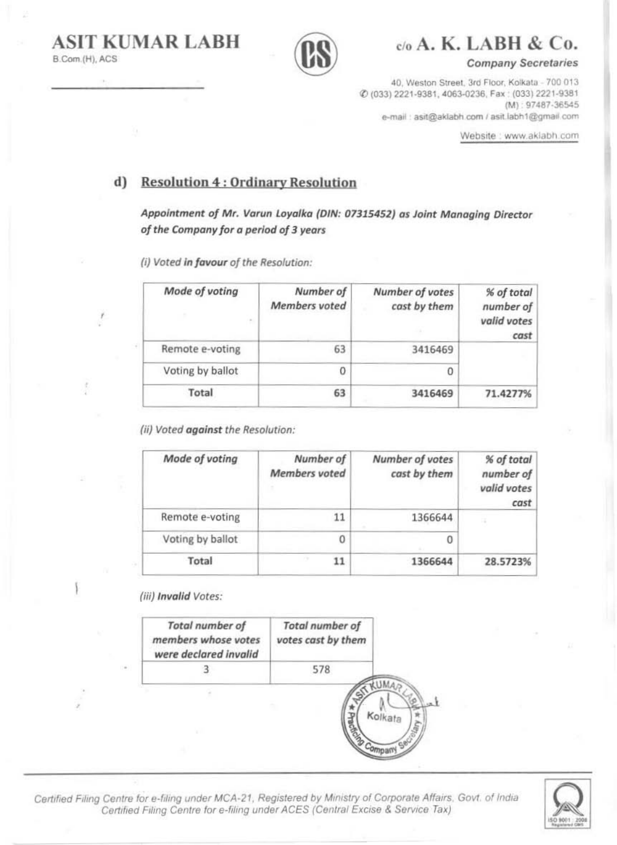

 $C<sub>0</sub>$  A. K. LABH & Co.

**Company Secretaries** 

40, Weston Street, 3rd Floor, Kolkata - 700 013 Ø (033) 2221-9381, 4063-0236, Fax: (033) 2221-9381  $(M) : 97487 - 36545$ e-mail: asit@aklabh.com / asit.labh1@gmail.com

Website : www.aklabh.com

#### **Resolution 4: Ordinary Resolution** d)

Appointment of Mr. Varun Loyalka (DIN: 07315452) as Joint Managing Director of the Company for a period of 3 years

(i) Voted in favour of the Resolution:

| Mode of voting   | Number of<br>Members voted | Number of votes<br>cast by them | % of total<br>number of<br>valid votes<br>cast |
|------------------|----------------------------|---------------------------------|------------------------------------------------|
| Remote e-voting  | 63                         | 3416469                         |                                                |
| Voting by ballot | 0                          | 0                               |                                                |
| Total            | 63                         | 3416469                         | 71.4277%                                       |

(ii) Voted against the Resolution:

| Mode of voting   | Number of<br><b>Members</b> voted | Number of votes<br>cast by them | % of total<br>number of<br>valid votes<br>cast |
|------------------|-----------------------------------|---------------------------------|------------------------------------------------|
| Remote e-voting  |                                   | 1366644                         | <b>EX</b>                                      |
| Voting by ballot | 0                                 | 0                               |                                                |
| Total            |                                   | 1366644                         | 28.5723%                                       |

Company

(iii) Invalid Votes:

| <b>Total number of</b><br>members whose votes<br>were declared invalid | <b>Total number of</b><br>votes cast by them |         |
|------------------------------------------------------------------------|----------------------------------------------|---------|
|                                                                        |                                              |         |
|                                                                        |                                              | Kolkate |

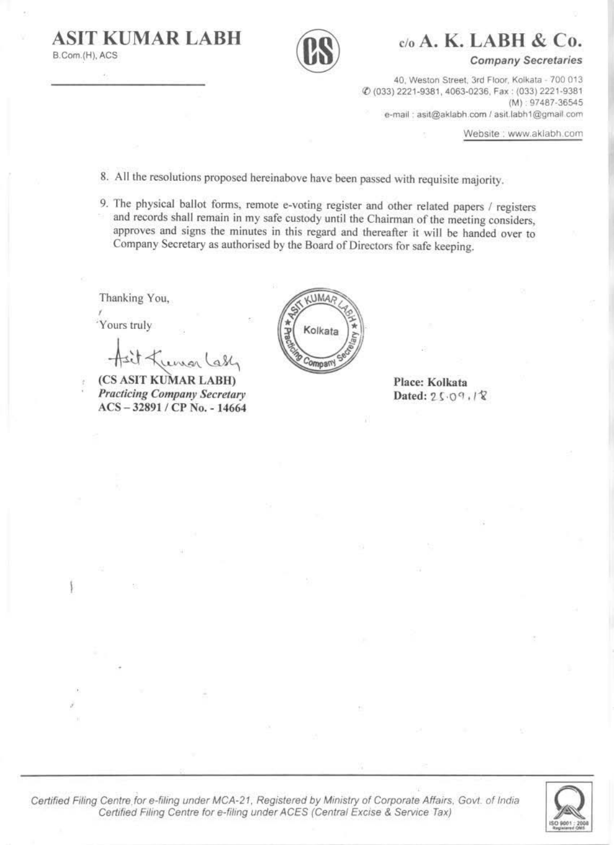B.Com.(H), ACS



 $c/a$  A. K. LABH & Co.

**Company Secretaries** 

40, Weston Street, 3rd Floor, Kolkata - 700 013 0 (033) 2221-9381, 4063-0236, Fax: (033) 2221-9381 (M): 97487-36545 e-mail: asit@aklabh.com / asit.labh1@gmail.com

Website: www.aklabh.com

8. All the resolutions proposed hereinabove have been passed with requisite majority.

9. The physical ballot forms, remote e-voting register and other related papers / registers and records shall remain in my safe custody until the Chairman of the meeting considers. approves and signs the minutes in this regard and thereafter it will be handed over to Company Secretary as authorised by the Board of Directors for safe keeping.

Thanking You,

'Yours truly

(CS ASIT KUMAR LABH) **Practicing Company Secretary** ACS-32891/CP No. - 14664

**KUMAA** Kolkata omparry

Place: Kolkata Dated: 25.09.18